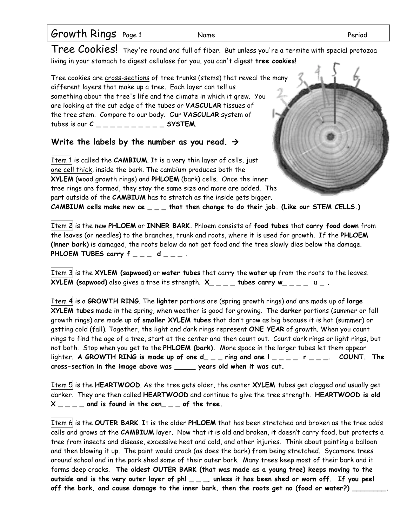| Growth Rings Page 1 | Name | Period |
|---------------------|------|--------|
|                     |      |        |

Tree Cookies! They're round and full of fiber. But unless you're a termite with special protozoa living in your stomach to digest cellulose for you, you can't digest **tree cookies**!

Tree cookies are cross-sections of tree trunks (stems) that reveal the many different layers that make up a tree. Each layer can tell us something about the tree's life and the climate in which it grew. You are looking at the cut edge of the tubes or **VASCULAR** tissues of the tree stem. Compare to our body. Our **VASCULAR** system of tubes is our  $C_{-}$   $\leq$  SYSTEM.

## Write the labels by the number as you read.  $\rightarrow$

Item 1 is called the **CAMBIUM**. It is a very thin layer of cells, just one cell thick, inside the bark. The cambium produces both the **XYLEM** (wood growth rings) and **PHLOEM** (bark) cells. Once the inner tree rings are formed, they stay the same size and more are added. The part outside of the **CAMBIUM** has to stretch as the inside gets bigger.

**CAMBIUM cells make new ce \_ \_ \_ that then change to do their job. (Like our STEM CELLS.)**

Item 2 is the new **PHLOEM** or **INNER BARK.** Phloem consists of **food tubes** that **carry food down** from the leaves (or needles) to the branches, trunk and roots, where it is used for growth. If the **PHLOEM (inner bark)** is damaged, the roots below do not get food and the tree slowly dies below the damage. PHLOEM TUBES carry  $f = -d$   $d = -$ .

Item 3 is the **XYLEM (sapwood)** or **water tubes** that carry the **water up** from the roots to the leaves. **XYLEM (sapwood)** also gives a tree its strength. **X\_ \_ \_ \_ tubes carry w\_ \_ \_ \_ u \_ .**

Item 4 is a **GROWTH RING**. The **lighter** portions are (spring growth rings) and are made up of **large XYLEM tubes** made in the spring, when weather is good for growing. The **darker** portions (summer or fall growth rings) are made up of **smaller XYLEM tubes** that don't grow as big because it is hot (summer) or getting cold (fall). Together, the light and dark rings represent **ONE YEAR** of growth. When you count rings to find the age of a tree, start at the center and then count out. Count dark rings or light rings, but not both. Stop when you get to the **PHLOEM (bark).** More space in the larger tubes let them appear lighter. **A GROWTH RING is made up of one d\_ \_ \_ ring and one l \_ \_ \_ \_ r \_ \_ \_. COUNT. The cross-section in the image above was \_\_\_\_\_ years old when it was cut.**

Item 5 is the **HEARTWOOD**. As the tree gets older, the center **XYLEM** tubes get clogged and usually get darker. They are then called **HEARTWOOD** and continue to give the tree strength. **HEARTWOOD is old**   $X_{\text{max}} = 1$  and is found in the cen<sub>t</sub>  $\frac{1}{2}$  of the tree.

Item 6 is the **OUTER BARK**. It is the older **PHLOEM** that has been stretched and broken as the tree adds cells and grows at the **CAMBIUM** layer. Now that it is old and broken, it doesn't carry food, but protects a tree from insects and disease, excessive heat and cold, and other injuries. Think about painting a balloon and then blowing it up. The paint would crack (as does the bark) from being stretched. Sycamore trees around school and in the park shed some of their outer bark. Many trees keep most of their bark and it forms deep cracks. **The oldest OUTER BARK (that was made as a young tree) keeps moving to the outside and is the very outer layer of phl \_ \_ \_, unless it has been shed or worn off. If you peel off the bark, and cause damage to the inner bark, then the roots get no (food or water?) \_\_\_\_\_\_\_\_.**